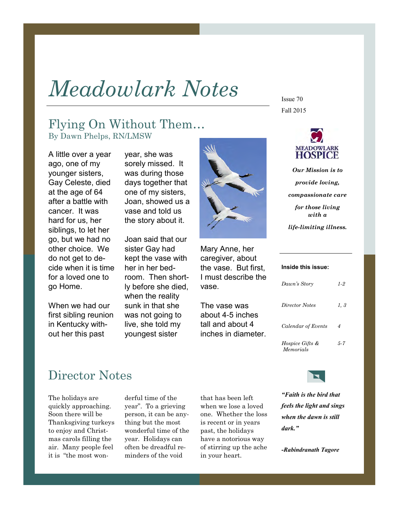# *Meadowlark Notes*

### Flying On Without Them… By Dawn Phelps, RN/LMSW

A little over a year ago, one of my younger sisters, Gay Celeste, died at the age of 64 after a battle with cancer. It was hard for us, her siblings, to let her go, but we had no other choice. We do not get to decide when it is time for a loved one to go Home.

When we had our first sibling reunion in Kentucky without her this past

year, she was sorely missed. It was during those days together that one of my sisters, Joan, showed us a vase and told us the story about it.

Joan said that our sister Gay had kept the vase with her in her bedroom. Then shortly before she died, when the reality sunk in that she was not going to live, she told my youngest sister



Mary Anne, her caregiver, about the vase. But first, I must describe the vase.

The vase was about 4-5 inches tall and about 4 inches in diameter.



#### **Inside this issue:**

Fall 2015 Issue 70

| Dawn's Story                            | 1-2  |
|-----------------------------------------|------|
| Director Notes                          | 1, 3 |
| Calendar of Events                      | 4    |
| <i>Hospice Gifts &amp;</i><br>Memorials | 5-7  |

### Director Notes

The holidays are quickly approaching. Soon there will be Thanksgiving turkeys to enjoy and Christmas carols filling the air. Many people feel it is "the most won-

derful time of the year". To a grieving person, it can be anything but the most wonderful time of the year. Holidays can often be dreadful reminders of the void

that has been left when we lose a loved one. Whether the loss is recent or in years past, the holidays have a notorious way of stirring up the ache in your heart.



*"Faith is the bird that feels the light and sings when the dawn is still dark."*

*-Rabindranath Tagore*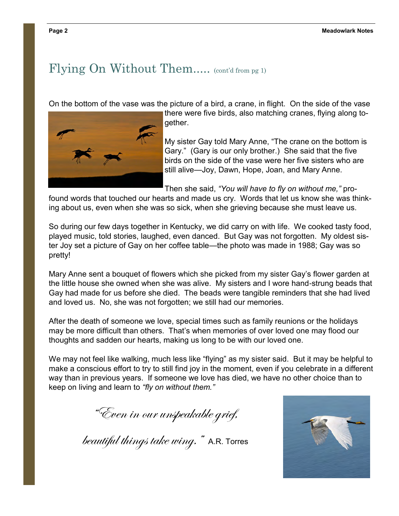## Flying On Without Them..... (cont'd from pg 1)

On the bottom of the vase was the picture of a bird, a crane, in flight. On the side of the vase



there were five birds, also matching cranes, flying along together.

My sister Gay told Mary Anne, "The crane on the bottom is Gary." (Gary is our only brother.) She said that the five birds on the side of the vase were her five sisters who are still alive—Joy, Dawn, Hope, Joan, and Mary Anne.

Then she said, *"You will have to fly on without me,"* pro-

found words that touched our hearts and made us cry. Words that let us know she was thinking about us, even when she was so sick, when she grieving because she must leave us.

So during our few days together in Kentucky, we did carry on with life. We cooked tasty food, played music, told stories, laughed, even danced. But Gay was not forgotten. My oldest sister Joy set a picture of Gay on her coffee table—the photo was made in 1988; Gay was so pretty!

Mary Anne sent a bouquet of flowers which she picked from my sister Gay's flower garden at the little house she owned when she was alive. My sisters and I wore hand-strung beads that Gay had made for us before she died. The beads were tangible reminders that she had lived and loved us. No, she was not forgotten; we still had our memories.

After the death of someone we love, special times such as family reunions or the holidays may be more difficult than others. That's when memories of over loved one may flood our thoughts and sadden our hearts, making us long to be with our loved one.

We may not feel like walking, much less like "flying" as my sister said. But it may be helpful to make a conscious effort to try to still find joy in the moment, even if you celebrate in a different way than in previous years. If someone we love has died, we have no other choice than to keep on living and learn to *"fly on without them."*

"Even in our unspeakable grief,

*beautiful things take wing.* " A.R. Torres

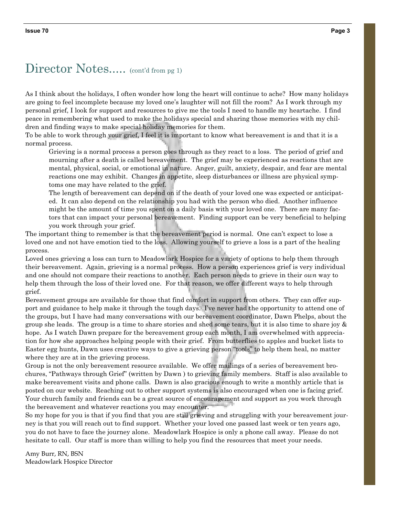# Director Notes..... (cont'd from pg 1)

As I think about the holidays, I often wonder how long the heart will continue to ache? How many holidays are going to feel incomplete because my loved one's laughter will not fill the room? As I work through my personal grief, I look for support and resources to give me the tools I need to handle my heartache. I find peace in remembering what used to make the holidays special and sharing those memories with my children and finding ways to make special holiday memories for them.

To be able to work through your grief, I feel it is important to know what bereavement is and that it is a normal process.

Grieving is a normal process a person goes through as they react to a loss. The period of grief and mourning after a death is called bereavement. The grief may be experienced as reactions that are mental, physical, social, or emotional in nature. Anger, guilt, anxiety, despair, and fear are mental reactions one may exhibit. Changes in appetite, sleep disturbances or illness are physical symptoms one may have related to the grief.

The length of bereavement can depend on if the death of your loved one was expected or anticipated. It can also depend on the relationship you had with the person who died. Another influence might be the amount of time you spent on a daily basis with your loved one. There are many factors that can impact your personal bereavement. Finding support can be very beneficial to helping you work through your grief.

The important thing to remember is that the bereavement period is normal. One can't expect to lose a loved one and not have emotion tied to the loss. Allowing yourself to grieve a loss is a part of the healing process.

Loved ones grieving a loss can turn to Meadowlark Hospice for a variety of options to help them through their bereavement. Again, grieving is a normal process. How a person experiences grief is very individual and one should not compare their reactions to another. Each person needs to grieve in their *own* way to help them through the loss of their loved one. For that reason, we offer different ways to help through grief.

Bereavement groups are available for those that find comfort in support from others. They can offer support and guidance to help make it through the tough days. I've never had the opportunity to attend one of the groups, but I have had many conversations with our bereavement coordinator, Dawn Phelps, about the group she leads. The group is a time to share stories and shed some tears, but it is also time to share joy & hope. As I watch Dawn prepare for the bereavement group each month, I am overwhelmed with appreciation for how she approaches helping people with their grief. From butterflies to apples and bucket lists to Easter egg hunts, Dawn uses creative ways to give a grieving person "tools" to help them heal, no matter where they are at in the grieving process.

Group is not the only bereavement resource available. We offer mailings of a series of bereavement brochures, "Pathways through Grief" (written by Dawn ) to grieving family members. Staff is also available to make bereavement visits and phone calls. Dawn is also gracious enough to write a monthly article that is posted on our website. Reaching out to other support systems is also encouraged when one is facing grief. Your church family and friends can be a great source of encouragement and support as you work through the bereavement and whatever reactions you may encounter.

So my hope for you is that if you find that you are still grieving and struggling with your bereavement journey is that you will reach out to find support. Whether your loved one passed last week or ten years ago, you do not have to face the journey alone. Meadowlark Hospice is only a phone call away. Please do not hesitate to call. Our staff is more than willing to help you find the resources that meet your needs.

Amy Burr, RN, BSN Meadowlark Hospice Director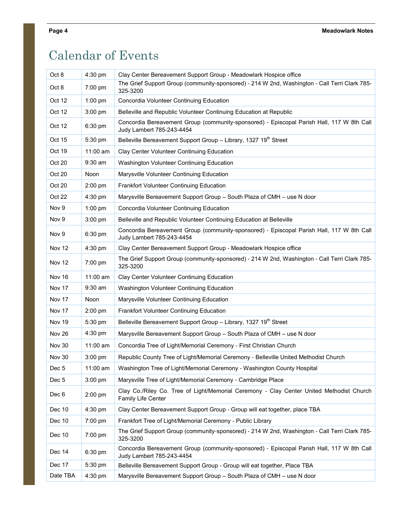# Calendar of Events

| Oct 8            | 4:30 pm     | Clay Center Bereavement Support Group - Meadowlark Hospice office                                                      |
|------------------|-------------|------------------------------------------------------------------------------------------------------------------------|
| Oct 8            | $7:00$ pm   | The Grief Support Group (community-sponsored) - 214 W 2nd, Washington - Call Terri Clark 785-<br>325-3200              |
| Oct 12           | $1:00$ pm   | Concordia Volunteer Continuing Education                                                                               |
| Oct 12           | $3:00$ pm   | Belleville and Republic Volunteer Continuing Education at Republic                                                     |
| Oct 12           | $6:30$ pm   | Concordia Bereavement Group (community-sponsored) - Episcopal Parish Hall, 117 W 8th Call<br>Judy Lambert 785-243-4454 |
| Oct 15           | 5:30 pm     | Belleville Bereavement Support Group - Library, 1327 19 <sup>th</sup> Street                                           |
| Oct 19           | $11:00$ am  | <b>Clay Center Volunteer Continuing Education</b>                                                                      |
| Oct 20           | $9:30$ am   | Washington Volunteer Continuing Education                                                                              |
| Oct 20           | Noon        | Marysville Volunteer Continuing Education                                                                              |
| Oct 20           | $2:00$ pm   | <b>Frankfort Volunteer Continuing Education</b>                                                                        |
| Oct 22           | $4:30$ pm   | Marysville Bereavement Support Group - South Plaza of CMH - use N door                                                 |
| Nov 9            | $1:00$ pm   | Concordia Volunteer Continuing Education                                                                               |
| Nov 9            | $3:00$ pm   | Belleville and Republic Volunteer Continuing Education at Belleville                                                   |
| Nov 9            | $6:30$ pm   | Concordia Bereavement Group (community-sponsored) - Episcopal Parish Hall, 117 W 8th Call<br>Judy Lambert 785-243-4454 |
| Nov 12           | $4:30$ pm   | Clay Center Bereavement Support Group - Meadowlark Hospice office                                                      |
| <b>Nov 12</b>    | 7:00 pm     | The Grief Support Group (community-sponsored) - 214 W 2nd, Washington - Call Terri Clark 785-<br>325-3200              |
| Nov 16           | 11:00 am    | Clay Center Volunteer Continuing Education                                                                             |
| <b>Nov 17</b>    | $9:30$ am   | Washington Volunteer Continuing Education                                                                              |
| Nov 17           | <b>Noon</b> | Marysville Volunteer Continuing Education                                                                              |
| Nov 17           | $2:00$ pm   | <b>Frankfort Volunteer Continuing Education</b>                                                                        |
| Nov 19           | 5:30 pm     | Belleville Bereavement Support Group - Library, 1327 19 <sup>th</sup> Street                                           |
| Nov 26           | $4:30$ pm   | Marysville Bereavement Support Group - South Plaza of CMH - use N door                                                 |
| Nov 30           | $11:00$ am  | Concordia Tree of Light/Memorial Ceremony - First Christian Church                                                     |
| Nov 30           | $3:00$ pm   | Republic County Tree of Light/Memorial Ceremony - Belleville United Methodist Church                                   |
| Dec 5            | 11:00 am    | Washington Tree of Light/Memorial Ceremony - Washington County Hospital                                                |
| Dec <sub>5</sub> | $3:00$ pm   | Marysville Tree of Light/Memorial Ceremony - Cambridge Place                                                           |
| Dec 6            | $2:00$ pm   | Clay Co./Riley Co. Tree of Light/Memorial Ceremony - Clay Center United Methodist Church<br>Family Life Center         |
| Dec 10           | $4:30$ pm   | Clay Center Bereavement Support Group - Group will eat together, place TBA                                             |
| Dec 10           | 7:00 pm     | Frankfort Tree of Light/Memorial Ceremony - Public Library                                                             |
| Dec 10           | 7:00 pm     | The Grief Support Group (community-sponsored) - 214 W 2nd, Washington - Call Terri Clark 785-<br>325-3200              |
| Dec 14           | 6:30 pm     | Concordia Bereavement Group (community-sponsored) - Episcopal Parish Hall, 117 W 8th Call<br>Judy Lambert 785-243-4454 |
| Dec 17           | 5:30 pm     | Belleville Bereavement Support Group - Group will eat together, Place TBA                                              |
| Date TBA         | 4:30 pm     | Marysville Bereavement Support Group - South Plaza of CMH - use N door                                                 |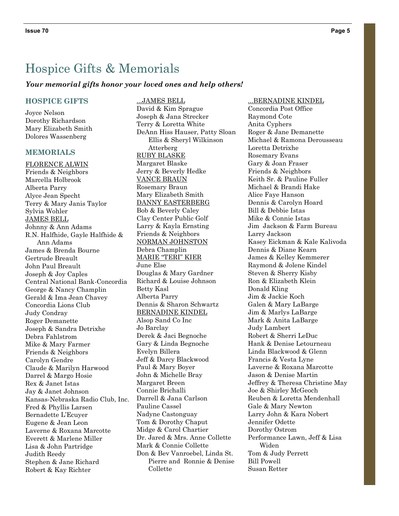### Hospice Gifts & Memorials

#### *Your memorial gifts honor your loved ones and help others!*

#### **HOSPICE GIFTS**

Joyce Nelson Dorothy Richardson Mary Elizabeth Smith Dolores Wassenberg

#### **MEMORIALS**

FLORENCE ALWIN Friends & Neighbors Marcella Holbrook Alberta Parry Alyce Jean Specht Terry & Mary Janis Taylor Sylvia Wohler JAMES BELL Johnny & Ann Adams R.N. Halfhide, Gayle Halfhide & Ann Adams James & Brenda Bourne Gertrude Breault John Paul Breault Joseph & Joy Caples Central National Bank-Concordia George & Nancy Champlin Gerald & Ima Jean Chavey Concordia Lions Club Judy Condray Roger Demanette Joseph & Sandra Detrixhe Debra Fahlstrom Mike & Mary Farmer Friends & Neighbors Carolyn Gendre Claude & Marilyn Harwood Darrel & Margo Hosie Rex & Janet Istas Jay & Janet Johnson Kansas-Nebraska Radio Club, Inc. Fred & Phyllis Larsen Bernadette L'Ecuyer Eugene & Jean Leon Laverne & Roxana Marcotte Everett & Marlene Miller Lisa & John Partridge Judith Reedy Stephen & Jane Richard Robert & Kay Richter

...JAMES BELL David & Kim Sprague Joseph & Jana Strecker Terry & Loretta White DeAnn Hiss Hauser, Patty Sloan Ellis & Sheryl Wilkinson Atterberg RUBY BLASKE Margaret Blaske Jerry & Beverly Hedke VANCE BRAUN Rosemary Braun Mary Elizabeth Smith DANNY EASTERBERG Bob & Beverly Caley Clay Center Public Golf Larry & Kayla Ernsting Friends & Neighbors NORMAN JOHNSTON Debra Champlin MARIE "TERI" KIER June Else Douglas & Mary Gardner Richard & Louise Johnson Betty Kasl Alberta Parry Dennis & Sharon Schwartz BERNADINE KINDEL Alsop Sand Co Inc Jo Barclay Derek & Jaci Begnoche Gary & Linda Begnoche Evelyn Billera Jeff & Darcy Blackwood Paul & Mary Boyer John & Michelle Bray Margaret Breen Connie Brichalli Darrell & Jana Carlson Pauline Cassel Nadyne Castonguay Tom & Dorothy Chaput Midge & Carol Chartier Dr. Jared & Mrs. Anne Collette Mark & Connie Collette Don & Bev Vanroebel, Linda St. Pierre and Ronnie & Denise Collette

...BERNADINE KINDEL Concordia Post Office Raymond Cote Anita Cyphers Roger & Jane Demanette Michael & Ramona Derousseau Loretta Detrixhe Rosemary Evans Gary & Joan Fraser Friends & Neighbors Keith Sr. & Pauline Fuller Michael & Brandi Hake Alice Faye Hanson Dennis & Carolyn Hoard Bill & Debbie Istas Mike & Connie Istas Jim Jackson & Farm Bureau Larry Jackson Kasey Eickman & Kale Kalivoda Dennis & Diane Kearn James & Kelley Kemmerer Raymond & Jolene Kindel Steven & Sherry Kisby Ron & Elizabeth Klein Donald Kling Jim & Jackie Koch Galen & Mary LaBarge Jim & Marlys LaBarge Mark & Anita LaBarge Judy Lambert Robert & Sherri LeDuc Hank & Denise Letourneau Linda Blackwood & Glenn Francis & Vesta Lyne Laverne & Roxana Marcotte Jason & Denise Martin Jeffrey & Theresa Christine May Joe & Shirley McGeoch Reuben & Loretta Mendenhall Gale & Mary Newton Larry John & Kara Nobert Jennifer Odette Dorothy Ostrom Performance Lawn, Jeff & Lisa Widen Tom & Judy Perrett Bill Powell Susan Retter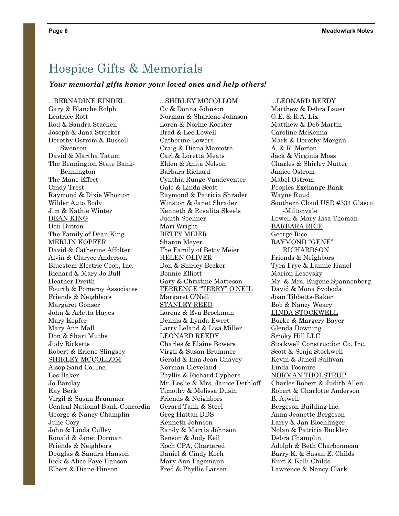## Hospice Gifts & Memorials

#### *Your memorial gifts honor your loved ones and help others!*

#### ...BERNADINE KINDEL

Gary & Blanche Rolph Leatrice Rott Rod & Sandra Stacken Joseph & Jana Strecker Dorothy Ostrom & Russell Swenson David & Martha Tatum The Bennington State Bank- Bennington The Mane Effect Cindy Trost Raymond & Dixie Whorton Wilder Auto Body Jim & Kathie Winter DEAN KING Don Button The Family of Dean King MERLIN KOPFER David & Catherine Affolter Alvin & Claryce Anderson Bluestem Electric Coop, Inc. Richard & Mary Jo Bull Heather Dreith Fourth & Pomeroy Associates Friends & Neighbors Margaret Gonser John & Arletta Hayes Mary Kopfer Mary Ann Mall Don & Shari Muths Judy Ricketts Robert & Erlene Slingsby SHIRLEY MCCOLLOM Alsop Sand Co, Inc. Les Baker Jo Barclay Kay Berk Virgil & Susan Brummer Central National Bank-Concordia George & Nancy Champlin Julie Cory John & Linda Culley Ronald & Janet Dorman Friends & Neighbors Douglas & Sandra Hanson Rick & Alice Faye Hanson Elbert & Diane Hinson

...SHIRLEY MCCOLLOM Cy & Donna Johnson Norman & Sharlene Johnson Loren & Norine Koester Brad & Lee Lowell Catherine Lowers Craig & Diana Marcotte Carl & Loretta Meats Elden & Anita Nelson Barbara Richard Cynthia Runge Vandeventer Gale & Linda Scott Raymond & Patricia Shrader Winston & Janet Shrader Kenneth & Rosalita Skeels Judith Soehner Mari Wright BETTY MEIER Sharon Meyer The Family of Betty Meier HELEN OLIVER Don & Shirley Becker Bonnie Elliott Gary & Christine Matteson TERRENCE "TERRY" O'NEIL Margaret O'Neil STANLEY REED Lorenz & Eva Brockman Dennis & Lynda Ewert Larry Leland & Lisa Miller LEONARD REEDY Charles & Elaine Bowers Virgil & Susan Brummer Gerald & Ima Jean Chavey Norman Cleveland Phyllis & Richard Cyphers Mr. Leslie & Mrs. Janice Dethloff Timothy & Melissa Dusin Friends & Neighbors Gerard Tank & Steel Greg Hattan DDS Kenneth Johnson Randy & Marcia Johnson Benson & Judy Keil Koch CPA, Chartered Daniel & Cindy Koch Mary Ann Lagemann Fred & Phyllis Larsen

...LEONARD REEDY Matthew & Debra Lauer G.E. & R.A. Lix Matthew & Deb Martin Caroline McKenna Mark & Dorothy Morgan A. & R. Morton Jack & Virginia Moss Charles & Shirley Nutter Janice Ostrom Mabel Ostrom Peoples Exchange Bank Wayne Ruud Southern Cloud USD #334 Glasco -Miltonvale Lowell & Mary Lisa Thoman BARBARA RICE George Rice RAYMOND "GENE" RICHARDSON Friends & Neighbors Tyra Frye & Lannie Hanel Marion Lesovsky Mr. & Mrs. Eugene Spannenberg David & Mona Svoboda Joan Tibbetts-Baker Bob & Nancy Weary LINDA STOCKWELL Burke & Margery Bayer Glenda Downing Smoky Hill LLC Stockwell Construction Co. Inc. Scott & Sonja Stockwell Kevin & Janeil Sullivan Linda Toomire NORMAN THOLSTRUP Charles Robert & Judith Allen Robert & Charlotte Anderson B. Atwell Bergeson Building Inc. Anna Jeanette Bergeson Larry & Jan Blochlinger Nolan & Patricia Buckley Debra Champlin Adolph & Beth Charbonneau Barry K. & Susan E. Childs Kurt & Kelli Childs Lawrence & Nancy Clark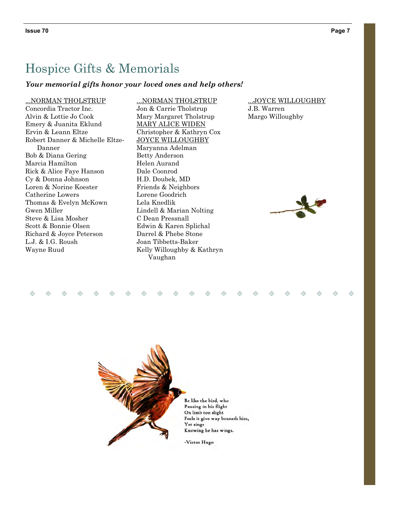### Hospice Gifts & Memorials

#### *Your memorial gifts honor your loved ones and help others!*

#### ...NORMAN THOLSTRUP

Concordia Tractor Inc. Alvin & Lottie Jo Cook Emery & Juanita Eklund Ervin & Leann Eltze Robert Danner & Michelle Eltze-Danner Bob & Diana Gering Marcia Hamilton Rick & Alice Faye Hanson Cy & Donna Johnson Loren & Norine Koester Catherine Lowers Thomas & Evelyn McKown Gwen Miller Steve & Lisa Mosher Scott & Bonnie Olsen Richard & Joyce Peterson L.J. & I.G. Roush Wayne Ruud

...NORMAN THOLSTRUP Jon & Carrie Tholstrup Mary Margaret Tholstrup MARY ALICE WIDEN Christopher & Kathryn Cox JOYCE WILLOUGHBY Maryanna Adelman Betty Anderson Helen Aurand Dale Coonrod H.D. Doubek, MD Friends & Neighbors Lorene Goodrich Lela Knedlik Lindell & Marian Nolting C Dean Pressnall Edwin & Karen Splichal Darrel & Phebe Stone Joan Tibbetts-Baker Kelly Willoughby & Kathryn Vaughan

...JOYCE WILLOUGHBY J.B. Warren Margo Willoughby



### △